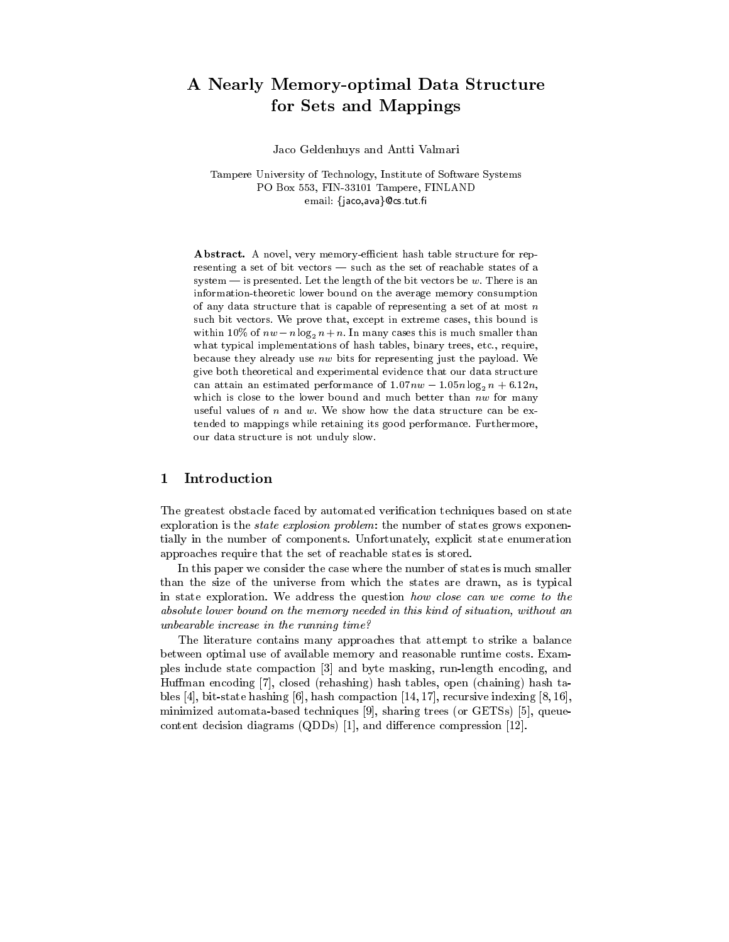# A Nearly Memory-optimal Data Structure for Sets and Mappings

Jaco Geldenhuys and Antti Valmari

Tampere University of Technology, Institute of Software Systems PO Box 553, FIN-33101 Tampere, FINLAND email: {jaco,ava}@cs.tut.fi

Abstract. A novel, very memory-efficient hash table structure for representing a set of bit vectors  $-$  such as the set of reachable states of a system  $-$  is presented. Let the length of the bit vectors be w. There is an information-theoretic lower bound on the average memory consumption of any data structure that is capable of representing a set of at most  $n$ such bit vectors. We prove that, except in extreme cases, this bound is within 10% of  $nw - n \log_2 n + n$ . In many cases this is much smaller than what typical implementations of hash tables, binary trees, etc., require, because they already use  $nw$  bits for representing just the payload. We give both theoretical and experimental evidence that our data structure can attain an estimated performance of  $1.07nw - 1.05n \log_2 n + 6.12n$ , which is close to the lower bound and much better than  $nw$  for many useful values of  $n$  and  $w$ . We show how the data structure can be extended to mappings while retaining its good performance. Furthermore, our data structure is not unduly slow.

# 1 Introduction

The greatest obstacle faced by automated verication techniques based on state exploration is the *state explosion problem*: the number of states grows exponentially in the number of components. Unfortunately, explicit state enumeration approaches require that the set of reachable states is stored.

In this paper we consider the case where the number of states is much smaller than the size of the universe from which the states are drawn, as is typical in state exploration. We address the question how close can we come to the absolute lower bound on the memory needed in this kind of situation, without an unbearable increase in the running time?

The literature contains many approaches that attempt to strike a balance between optimal use of available memory and reasonable runtime costs. Examples include state compaction [3] and byte masking, run-length encoding, and Human encoding [7], closed (rehashing) hash tables, open (chaining) hash tables [4], bit-state hashing [6], hash compaction [14, 17], recursive indexing [8, 16], minimized automata-based techniques [9], sharing trees (or GETSs) [5], queuecontent decision diagrams  $(QDDs)$  [1], and difference compression [12].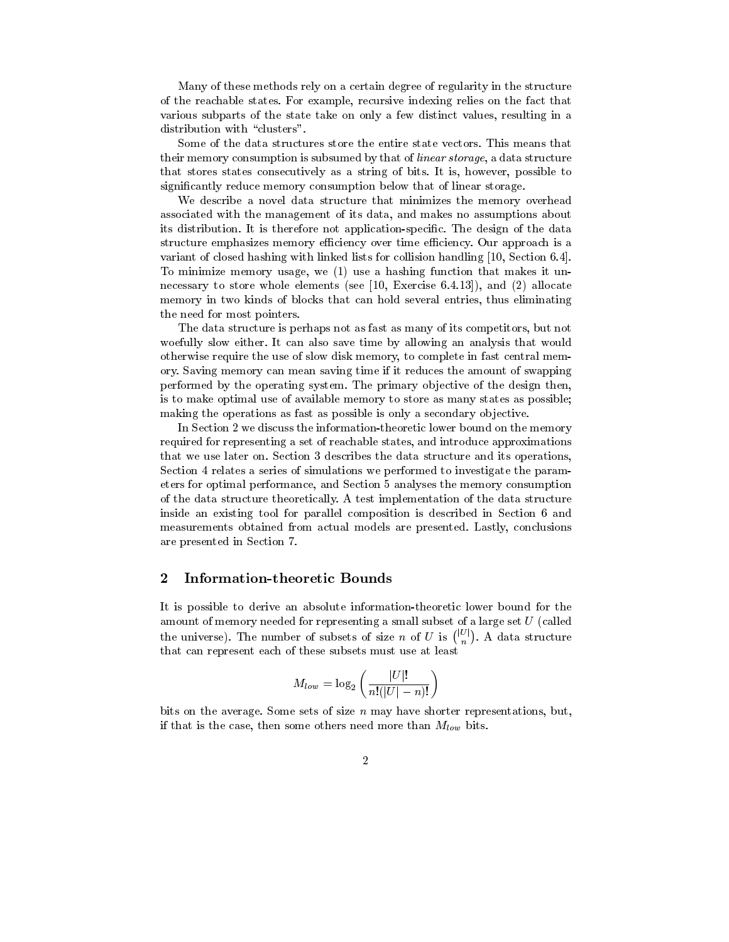Many of these methods rely on acertain degree of regularity in thestructure of the reachable states. For example, recursive indexing relies on the fact that various subparts of the state take on only a few distinct values, resulting in a distribution with "clusters".

Some of the data structures store the entire state vectors. This means that their memory consumption is subsumed by that of *linear storage*, a data structure that stores states consecutively as a string of bits.It is, however, possible to signicantly reduce memory consumption below that of linear storage.

We describe a novel data structure that minimizes the memory overhead associated with the management of its data, and makes no assumptions about its distribution. It is therefore not application-specic. The design of the data structure emphasizes memory efficiency over time efficiency. Our approach is a variant of closed hashing with linked lists for collision handling [10, Section 6.4]. To minimize memory usage, we (1) use a hashing function that makes it un necessary to store whole elements (see [10, Exercise  $(6.4.13)$ ), and (2) allocate memory in two kinds of blocks that can hold several entries, thus eliminating the need for most pointers.

The data structure is perhaps not as fast as many of its competitors, but not woefully slow either. It can also save time by allowing an analysis that would otherwise require the use of slow disk memory, to complete in fast central memory. Saving memory can mean saving time if it reduces the amount of swapping performed by the operating system. The primary ob jective of the design then, is to make optimal use of available memory to store as many states as possible; making the operations as fast as possible is only a secondary ob jective.

In Section 2 we discuss the information-theoretic lower bound on the memory required for representing a set of reachable states, and introduce approximations that we use later on. Section 3 describes the data structure and its operations, Section 4 relates a series of simulations we performed to investigate the parameters for optimal performance, and Section 5 analyses the memory consumption of the data structure theoretically. A test implementation of the data structure inside an existing tool for parallel composition is described in Section 6 and measurements obtained from actual models are presented. Lastly, conclusions are presented in Section 7.

#### $\overline{2}$ **Information-theoretic Bounds**

It is possible to derive an absolute information-theoretic lower bound for the amount of memory needed for representing a small subset of a large set  $U$  (called the universe). The number of subsets of size n of U is  $\binom{|U|}{\cdot}$ . A data structu that can represent each of these subsets must use at least

$$
M_{low}=\log_2\left(\frac{|U|!}{n!(|U|-n)!}\right)
$$

bits on the average. Some sets of size  $n$  may have shorter representations, but, if that is the case, then some others need more than  $M_{low}$  bits.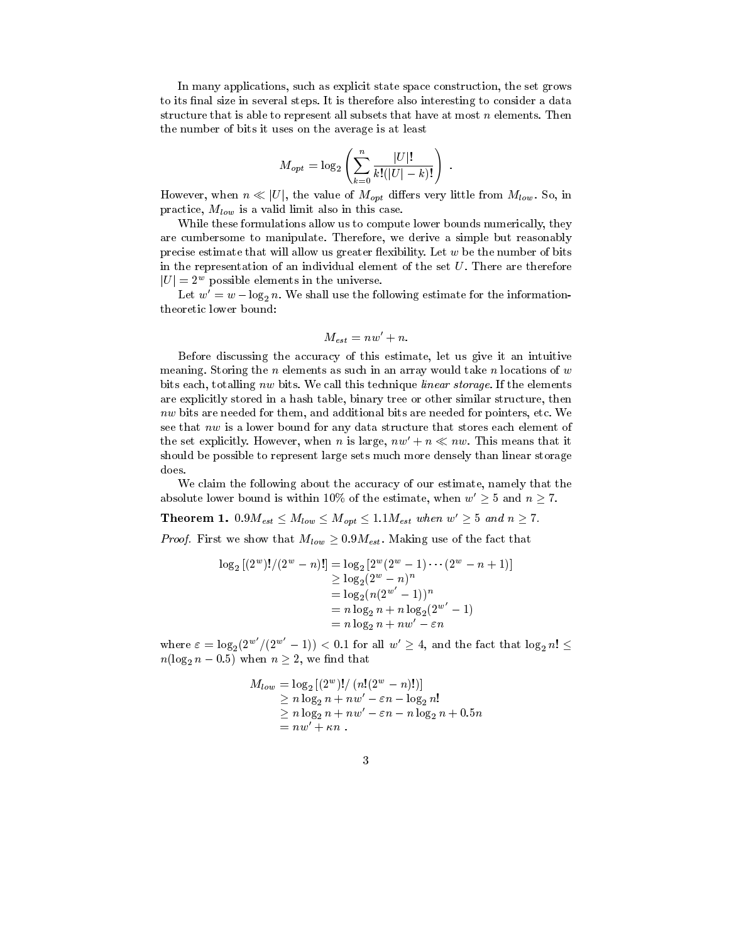In many applications, such as explicit state space construction, the set grows to its final size in several steps. It is therefore also interesting to consider a data structure that is able to represent all subsets that have at most  $n$  elements. Then the number of bits it uses on the average is at least

$$
{M_{opt}} = {\log _2}\left( {\sum\limits_{k = 0}^n {\frac{|U|!}{k!(|U| - k)!}}} \right)~.
$$

However, when  $n \ll |U|$ , the value of  $M_{opt}$  differs very little from  $M_{low}$ . So, in practice,  $M_{low}$  is a valid limit also in this case.

While these formulations allow us to compute lower bounds numerically, they are cumbersome to manipulate. Therefore, we derive a simple but reasonably precise estimate that will allow us greater flexibility. Let  $w$  be the number of bits in the representation of an individual element of the set  $U$ . There are therefore  $|U|=2^w$  possible elements in the universe.

Let  $w = w - \log_2 n$ , we shall use the following estimate for the informationtheoretic lower bound:

$$
M_{est} = nw' + n.
$$

Before discussing the accuracy of this estimate, let us give it an intuitive meaning. Storing the *n* elements as such in an array would take *n* locations of  $w$ bits each, totalling nw bits. We call this technique *linear storage*. If the elements are explicitly stored in ahash table, binary tree or other similar structure, then  $nw$  bits are needed for them, and additional bits are needed for pointers, etc. We see that nw is a lower bound for any data structure that stores each element of the set explicitly. However, when n is large,  $nw' + n \ll nw$ . This means that it should be possible to represent large sets much more densely than linear storage does.

We claim the following about the accuracy of our estimate, namely that the absolute lower bound is within 10% of the estimate, when  $w' \geq 5$  and  $n \geq 7$ .

**Theorem 1.**  $0.9M_{est} \leq M_{low} \leq M_{opt} \leq 1.1M_{est}$  when  $w' \geq 5$  and  $n \geq 7$ . *Proof.* First we show that  $M_{low} \geq 0.9M_{est}$ . Making use of the fact that

$$
\log_2\left[ (2^w)! / (2^w - n)! \right] = \log_2\left[ 2^w (2^w - 1) \cdots (2^w - n + 1) \right]
$$
  
\n
$$
\geq \log_2(2^w - n)^n
$$
  
\n
$$
= \log_2(n(2^{w'} - 1))^n
$$
  
\n
$$
= n \log_2 n + n \log_2(2^{w'} - 1)
$$
  
\n
$$
= n \log_2 n + n w' - \varepsilon n
$$

where  $\varepsilon = \log_2(2^w/(2^w-1))$  < 0.1 for all  $w' \geq 4$ , and the fact that  $\log_2 n! \leq$  $n(\log_2 n - 0.5)$  when  $n \geq 2,$  we find that

$$
M_{low} = \log_2 \left[ (2^w)! / (n! (2^w - n)!) \right]
$$
  
\n
$$
\ge n \log_2 n + nw' - \varepsilon n - \log_2 n!
$$
  
\n
$$
\ge n \log_2 n + nw' - \varepsilon n - n \log_2 n + 0.5n
$$
  
\n
$$
= nw' + \kappa n.
$$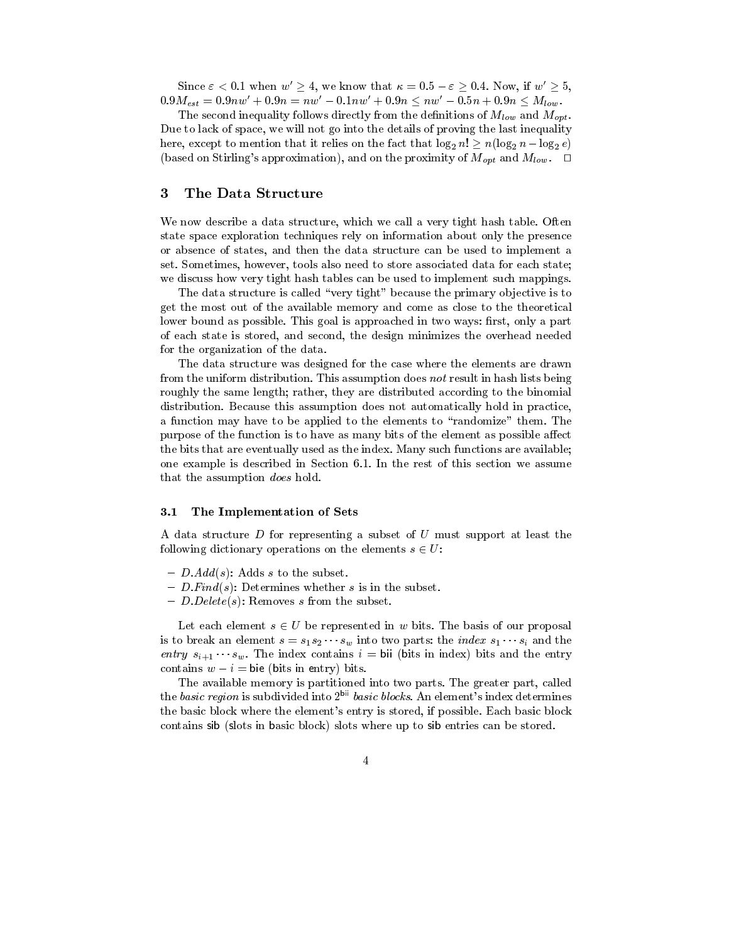Since  $\varepsilon$  < 0.1 when  $w' \geq 4$ , we know that  $\kappa = 0.5 - \varepsilon \geq 0.4$ . Now, if  $w' \geq 5$ ,  $0.9M_{est} = 0.9nw' + 0.9n = nw' - 0.1nw' + 0.9n \leq nw' - 0.5n + 0.9n \leq M_{low}.$ 

The second inequality follows directly from the definitions of  $M_{low}$  and  $M_{opt}$ . Due to lack of space, we will not go into the details of proving the last inequality here, except to mention that it relies on the fact that  $\log_2 n! \geq n(\log_2 n - \log_2 e)$ (based on Stirling's approximation), and on the proximity of  $M_{opt}$  and  $M_{low}$ .  $\Box$ 

#### 3 The Data Structure 3

We now describe a data structure, which we call a very tight hash table. Often state space exploration techniques rely on information about only the presence or absence of states, and then thedata structure can be used to implement a set. Sometimes, however, tools also need to store associated data for each state; we discuss how very tight hash tables can be used to implement such mappings.

The data structure is called "very tight" because the primary objective is to get the most out of the available memory and come as close to the theoretical lower bound as possible. This goal is approached in two ways: first, only a part of each state is stored, and second, the design minimizes the overhead needed for the organization of the data.

The data structure was designed for the case where the elements are drawn from the uniform distribution. This assumption does not result in hash lists being roughly the same length; rather, they are distributed according to the binomial distribution. Because this assumption does not automatically hold in practice, a function may have to be applied to the elements to "randomize" them. The purpose of the function is to have as many bits of the element as possible affect the bits that are eventually used as the index. Many such functions are available; one example is described in Section 6.1. In the rest of this section we assume that the assumption *does* hold.

### 3.1 The Implementation of Sets

A data structure  $D$  for representing a subset of  $U$  must support at least the following dictionary operations on the elements  $s \in U$ :

- ${-} D. Add(s)$ : Adds s to the subset.
- $= D. Find(s)$ : Determines whether s is in the subset.
- ${-}$  *D.Delete(s)*: Removes s from the subset.

Let each element  $s \in U$  be represented in w bits. The basis of our proposal is to break an element  $s = s_1s_2\cdots s_w$  into two parts: the *maex*  $s_1\cdots s_i$  and the entry  $s_{i+1} \cdots s_w$ . The index contains  $i=$  bii (bits in index) bits and the entry contains  $w - i =$  bie (bits in entry) bits.

The available memory is partitioned into two parts. The greater part, called the *basic region* is subdivided into  $2^{bii}$  *basic blocks*. An element's index determines the basic block where the element's entry is stored, if possible. Each basic block contains sib (slots in basic block) slots where up to sib entries can be stored.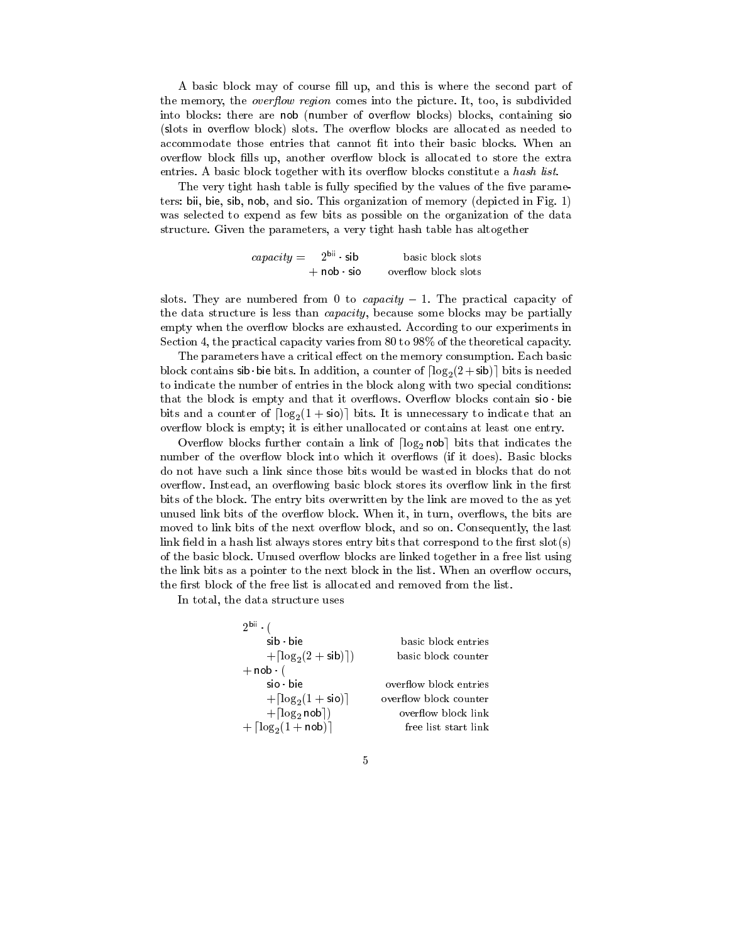A basic block may of course fill up, and this is where the second part of the memory, the *overflow region* comes into the picture. It, too, is subdivided into blocks: there are nob (number of overflow blocks) blocks, containing sio (slots in overflow block) slots. The overflow blocks are allocated as needed to accommodate those entries that cannot fit into their basic blocks. When an overflow block fills up, another overflow block is allocated to store the extra entries. A basic block together with its overflow blocks constitute a hash list.

The very tight hash table is fully specified by the values of the five parameters: bii, bie, sib, nob, and sio. This organization of memory (depicted in Fig. 1) was selected to expend as few bits as possible on the organization of the data structure. Given the parameters, a very tight hash table has altogether

$$
capacity = 2bii \cdot sib
$$
 basic block slots  
+ nob \cdot sio  
overflow block slots

slots. They are numbered from 0 to *capacity*  $-1$ . The practical capacity of the data structure is less than *capacity*, because some blocks may be partially empty when the overflow blocks are exhausted. According to our experiments in Section 4, the practical capacity varies from 80 to 98% of the theoretical capacity.

The parameters have a critical effect on the memory consumption. Each basic block contains sib bie bits. In addition, a counter of  $\lceil \log_2(2+sib) \rceil$  bits is needed to indicate the number of entries in the block along with two special conditions: that the block is empty and that it overflows. Overflow blocks contain sio bie bits and a counter of  $\lceil \log_2(1 + \text{sio}) \rceil$  bits. It is unnecessary to indicate that an overflow block is empty; it is either unallocated or contains at least one entry.

Overflow blocks further contain a link of  $\lceil \log_2 n \cdot \text{obj} \rceil$  bits that indicates the number of the overflow block into which it overflows (if it does). Basic blocks do not have such alink since those bits would be wasted in blocks that do not overflow. Instead, an overflowing basic block stores its overflow link in the first bits of the block. The entry bits overwritten by the link are moved to the as yet unused link bits of the overflow block. When it, in turn, overflows, the bits are moved to link bits of the next overflow block, and so on. Consequently, the last link field in a hash list always stores entry bits that correspond to the first  $slot(s)$ of the basic block. Unused overflow blocks are linked together in a free list using the link bits as a pointer to the next block in the list. When an overflow occurs, the first block of the free list is allocated and removed from the list.

In total, the data structure uses

| $2^{$ rm pt} \cdot (                     |                        |  |
|------------------------------------------|------------------------|--|
| $sib \cdot bie$                          | basic block entries    |  |
| $+[\log_2(2 + \mathsf{sib})])$           | basic block counter    |  |
| $+$ nob $\cdot$ (                        |                        |  |
| $sio \cdot bie$                          | overflow block entries |  |
| $+[\log_2(1 + \text{sio})]$              | overflow block counter |  |
| $+[\log_2 \text{nob}])$                  | overflow block link    |  |
| $+ \lceil \log_2(1 + \text{nob}) \rceil$ | free list start link   |  |
|                                          |                        |  |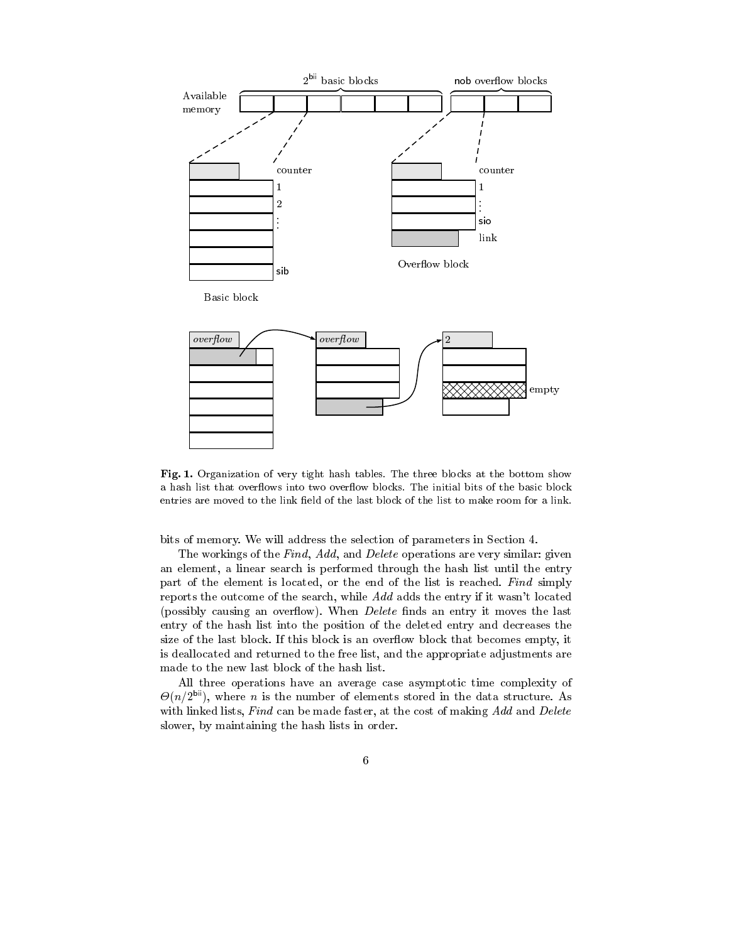

Fig. 1. Organization of very tight hash tables. The three blocks at the bottom show a hash list that overflows into two overflow blocks. The initial bits of the basic block entries are moved to the link field of the last block of the list to make room for a link.

bits of memory. We will address the selection of parameters in Section 4.

The workings of the Find, Add, and Delete operations are very similar: given an element, a linear search is performed through the hash list until the entry part of the element is located, or the end of the list is reached. Find simply reports the outcome of the search, while  $Add$  adds the entry if it wasn't located (possibly causing an overflow). When *Delete* finds an entry it moves the last entry of the hash list into the position of the deleted entry and decreases the size of the last block. If this block is an overflow block that becomes empty, it is deallocated and returned to the free list, and the appropriate adjustments are made to the new last block of the hash list.

All three operations have an average case asymptotic time complexity of  $\Theta(n/2)$ , where n is the number of elements stored in the data structure. As with linked lists, Find can be made faster, at the cost of making  $Add$  and  $Delete$ slower, by maintaining the hash lists in order.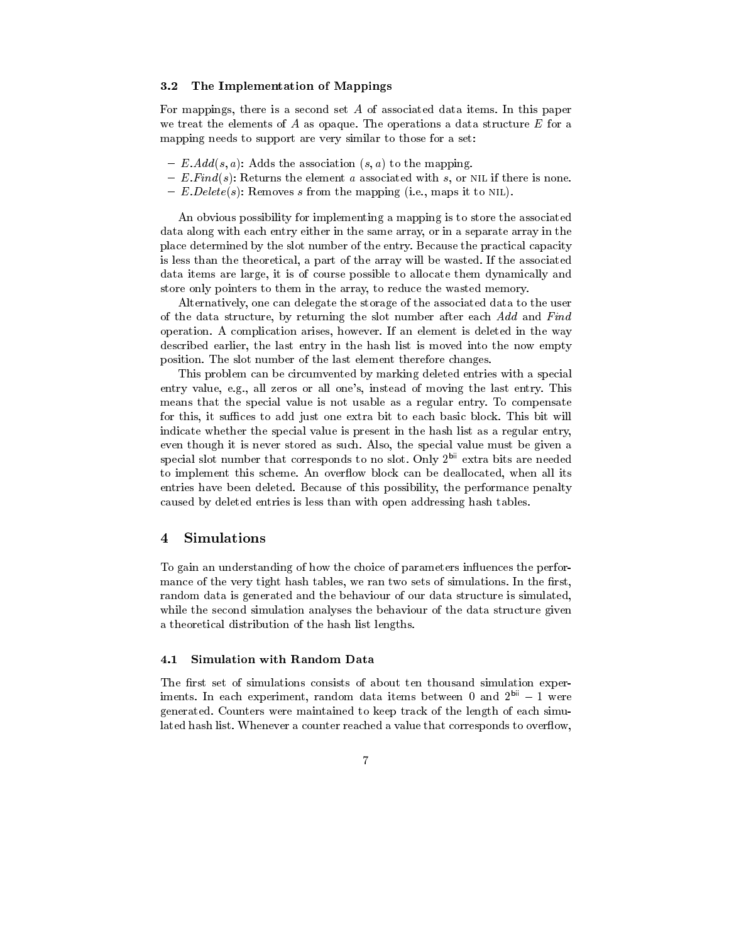### 3.2 The Implementation of Mappings

For mappings, there is a second set  $A$  of associated data items. In this paper we treat the elements of  $A$  as opaque. The operations a data structure  $E$  for a mapping needs to support are very similar to those for a set:

- $= E \cdot Add(s, a)$ : Adds the association  $(s, a)$  to the mapping.
- ${{\rm -}E.Find(s)}$ : Returns the element a associated with s, or NIL if there is none.
- $= E. Delete(s)$ : Removes s from the mapping (i.e., maps it to NIL).

An obvious possibility for implementing a mapping is to store the associated data along with each entry either in thesame array, or in a separate array in the place determined by the slot number of the entry. Because the practical capacity is less than the theoretical, a part of the array will be wasted. If the associated data items are large, it is of course possible to allocate them dynamically and store only pointers to them in the array, to reduce the wasted memory.

Alternatively, one can delegate the storage of the associated data to the user of the data structure, by returning the slot number after each Add and Find operation. A complication arises, however. If an element is deleted in the way described earlier, the last entry in the hash list is moved into the now empty position. The slot number of the last element therefore changes.

This problem can be circumvented by marking deleted entries with a special entry value, e.g., all zeros or all one's, instead of moving the last entry. This means that the special value is not usable as a regular entry. To compensate for this, it suffices to add just one extra bit to each basic block. This bit will indicate whether the special value is present in the hash list as a regular entry, even though it is never stored as such. Also, the special value must be given a special slot number that corresponds to no slot. Only  $2^{6ii}$  extra bits are needed to implement this scheme. An overflow block can be deallocated, when all its entries have been deleted. Because of this possibility, the performance penalty caused by deleted entries is less than with open addressing hash tables.

# 4 Simulations

To gain an understanding of how the choice of parameters influences the performance of the very tight hash tables, we ran two sets of simulations. In the first, random data is generated and the behaviour of our data structure is simulated, while the second simulation analyses the behaviour of the data structure given a theoretical distribution of the hash list lengths.

# 4.1 Simulation with Random Data

The first set of simulations consists of about ten thousand simulation experiments. In each experiment, random data items between 0 and  $2^{bu} - 1$  were generated. Counters were maintained to keep track of the length of each simulated hash list. Whenever a counter reached a value that corresponds to overflow,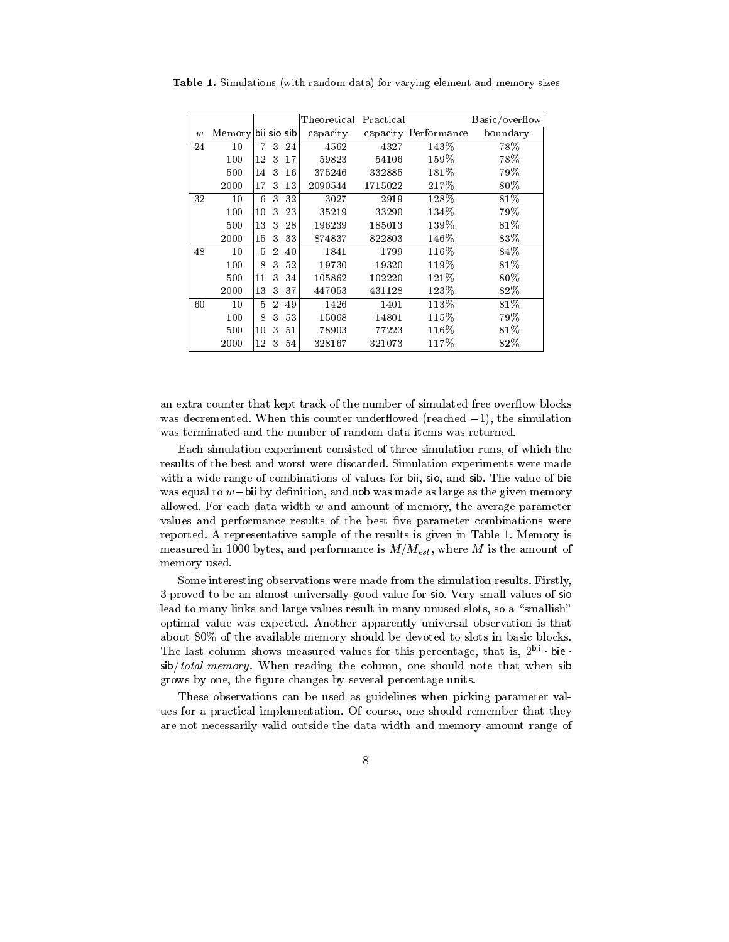|                  |                    |                 |                |    | Theoretical Practical |         |                      | Basic/overflow |
|------------------|--------------------|-----------------|----------------|----|-----------------------|---------|----------------------|----------------|
| $\boldsymbol{w}$ | Memory bii sio sib |                 |                |    | capacity              |         | capacity Performance | boundary       |
| 24               | 10                 | 7.              | 3              | 24 | 4562                  | 4327    | 143%                 | 78%            |
|                  | 100                | 12              | 3              | 17 | 59823                 | 54106   | 159%                 | 78%            |
|                  | 500                | 14 3            |                | 16 | 375246                | 332885  | 181\%                | $79\%$         |
|                  | 2000               | 17              | 3              | 13 | 2090544               | 1715022 | 217\%                | 80%            |
| 32               | 10                 | 6               | 3              | 32 | 3027                  | 2919    | 128%                 | 81\%           |
|                  | 100                | 10              | 3              | 23 | 35219                 | 33290   | 134\%                | 79%            |
|                  | 500                | 13              | 3              | 28 | 196239                | 185013  | 139%                 | 81%            |
|                  | 2000               | 15              | 3              | 33 | 874837                | 822803  | 146\%                | 83%            |
| 48               | 10                 | 5.              | $\overline{2}$ | 40 | 1841                  | 1799    | $116\%$              | 84%            |
|                  | 100                | 8               | 3              | 52 | 19730                 | 19320   | 119%                 | 81%            |
|                  | 500                | 11              | 3              | 34 | 105862                | 102220  | 121\%                | 80%            |
|                  | 2000               | 13              | 3              | 37 | 447053                | 431128  | 123\%                | 82%            |
| 60               | 10                 |                 | $5\quad2$      | 49 | 1426                  | 1401    | 113%                 | 81%            |
|                  | 100                | 8               | 3              | 53 | 15068                 | 14801   | 115\%                | 79%            |
|                  | 500                | 10 <sup>°</sup> | 3              | 51 | 78903                 | 77223   | 116\%                | $81\%$         |
|                  | 2000               | 12              | 3              | 54 | 328167                | 321073  | 117%                 | 82\%           |

Table 1. Simulations (with random data) for varying element and memory sizes

an extra counter that kept track of the number of simulated free overflow blocks was decremented. When this counter underflowed (reached  $-1$ ), the simulation was terminated and the number of random data items was returned.

Each simulation experiment consisted of three simulation runs, of which the results of the best and worst were discarded. Simulation experiments were made with a wide range of combinations of values for bii, sio, and sib. The value of bie was equal to  $w$  – bii by definition, and nob was made as large as the given memory allowed. For each data width  $w$  and amount of memory, the average parameter values and performance results of the best five parameter combinations were reported. A representative sample of the results is given in Table 1. Memory is measured in 1000 bytes, and performance is  $M/M_{est}$ , where M is the amount of memory used.

Some interesting observations were made from the simulation results. Firstly, 3 proved to be an almost universally good value for sio. Very small values of sio lead to many links and large values result in many unused slots, so a "smallish" optimal value was expected. Another apparently universal observation is that about 80% of the available memory should be devoted to slots in basic blocks. The last column shows measured values for this percentage, that is,  $2^{bii} \cdot bie \cdot$  $sib/total memory$ . When reading the column, one should note that when sib grows by one, the figure changes by several percentage units.

These observations can be used as guidelines when picking parameter values for a practical implementation. Of course, one should remember that they are not necessarily valid outside the data width and memory amount range of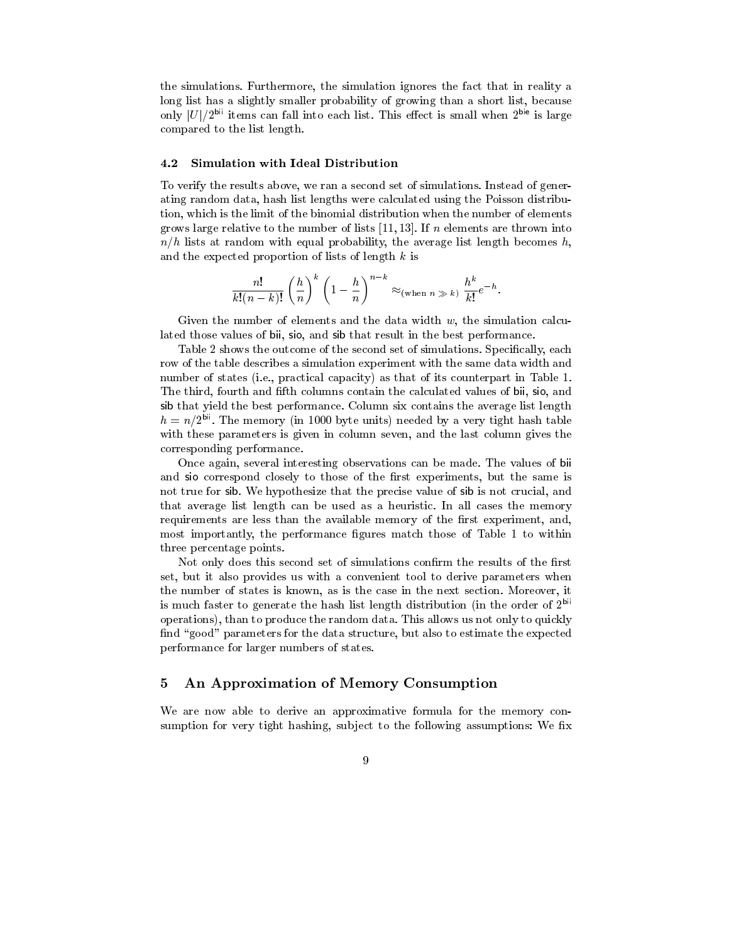the simulations. Furthermore, the simulation ignores the fact that in reality a long list has a slightly smaller probability of growing than a short list, because only  $|U|/2^{\text{bit}}$  items can fall into each list. This effect is small when  $2^{\text{bit}}$  is large compared to the list length.

### 4.2 Simulation with Ideal Distribution

To verify the results above, we ran a second set of simulations. Instead of generating random data, hash list lengths were calculated using the Poisson distribution, which is the limit of the binomial distribution when the number of elements grows large relative to the number of lists  $[11, 13]$ . If n elements are thrown into  $n/h$  lists at random with equal probability, the average list length becomes h, and the expected proportion of lists of length  $k$  is

$$
\frac{n!}{k!(n-k)!}\left(\frac{h}{n}\right)^k\left(1-\frac{h}{n}\right)^{n-k}\approx_{(\text{when }n\gg k)}\frac{h^k}{k!}e^{-h}.
$$

Given the number of elements and the data width  $w$ , the simulation calculated those values of bii, sio, and sib that result in the best performance.

Table 2 shows the outcome of the second set of simulations. Specifically, each row of the table describes a simulation experiment with thesame data width and number of states (i.e., practical capacity) as that of its counterpart in Table 1. The third, fourth and fth columns contain thecalculated values of bii, sio, and sib that yield the best performance. Column six contains the average list length  $h = n/2^{6i}$ . The memory (in 1000 byte units) needed by a very tight hash table with these parameters is given in column seven, and the last column gives the corresponding performance.

Once again, several interesting observations can be made. The values of bii and sio correspond closely to those of the first experiments, but the same is not true for sib. We hypothesize that the precise value of sib is not crucial, and that average list length can be used as a heuristic. In all cases the memory requirements are less than the available memory of the first experiment, and, most importantly, the performance figures match those of Table 1 to within three percentage points.

Not only does this second set of simulations confirm the results of the first set, but it also provides us with a convenient tool to derive parameters when the number of states is known, as is the case in the next section. Moreover, it is much faster to generate the hash list length distribution (in the order of  $2^{bii}$ operations), than to produce the random data. This allows us not only to quickly find "good" parameters for the data structure, but also to estimate the expected performance for larger numbers of states.

#### 5 An Approximation of Memory Consumption 5

We are now able to derive an approximative formula for the memory consumption for very tight hashing, subject to the following assumptions: We fix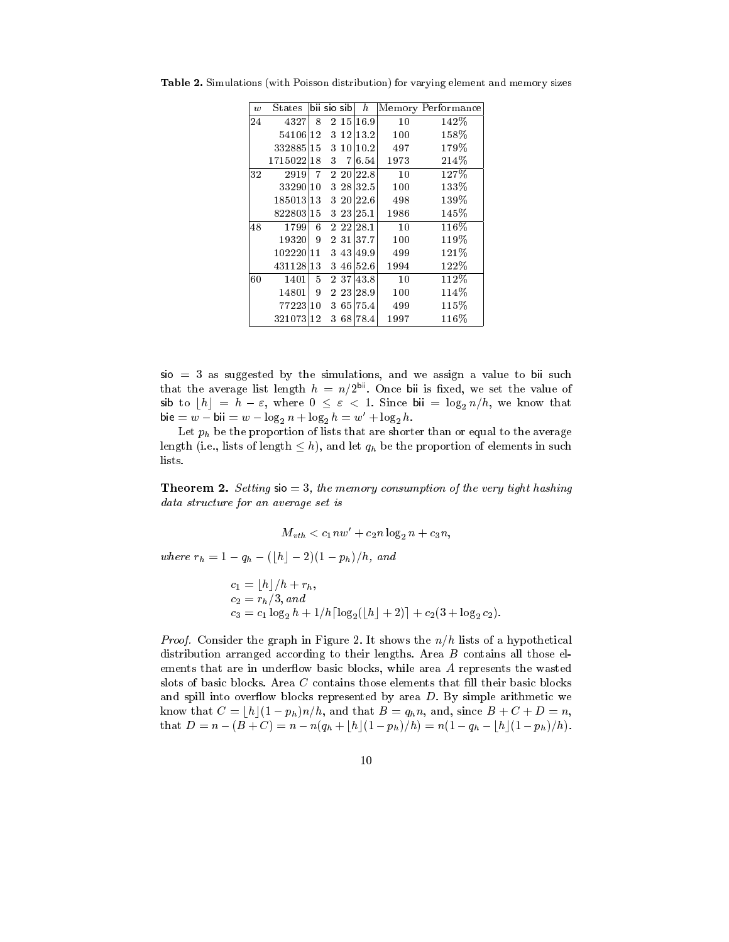| $\boldsymbol{w}$ | States     |                | $\overline{b}$ is io sib | $\boldsymbol{h}$ |      | Memory Performance |
|------------------|------------|----------------|--------------------------|------------------|------|--------------------|
| 24               | 4327       | 8              |                          | 2 15 16.9        | 10   | 142\%              |
|                  | 5410612    |                |                          | 3 12 13 2        | 100  | 158\%              |
|                  | 332885 15  |                |                          | $3 \t10 \t10.2$  | 497  | 179%               |
|                  | 1715022 18 |                |                          | 3 7 6 5 4        | 1973 | 214\%              |
| 32               | 2919       | $\overline{7}$ |                          | 2 20 22.8        | 10   | 127\%              |
|                  | 3329010    |                |                          | 3 28 32 5        | 100  | 133%               |
|                  | 185013 13  |                |                          | 3 20 22.6        | 498  | 139%               |
|                  | 82280315   |                |                          | 3 23 25.1        | 1986 | 145\%              |
| 48               | 1799       | 6              |                          | 2 2 2 2 3 .1     | 10   | $116\%$            |
|                  | 19320      | 9              |                          | 2 31 37.7        | 100  | 119%               |
|                  | 102220111  |                |                          | $3\;43\;49.9$    | 499  | 121\%              |
|                  | 431128 13  |                |                          | 3 46 52.6        | 1994 | 122\%              |
| 60               | 1401       | 5              |                          | 2 37 43.8        | 10   | 112\%              |
|                  | 14801      | 9              |                          | 2 23 28.9        | 100  | 114\%              |
|                  | 77223110   |                |                          | 3 65 75.4        | 499  | 115\%              |
|                  | 321073112  |                |                          | 3 68 78.4        | 1997 | 116\%              |

Table 2. Simulations (with Poisson distribution) for varying element and memory sizes

 $sio = 3$  as suggested by the simulations, and we assign a value to bii such that the average list length  $h = n/2^{bii}$ . Once bii is fixed, we set the value of sib to  $[h] = h - \varepsilon$ , where  $0 \leq \varepsilon < 1$ . Since bii =  $\log_2 n/h$ , we know that  $\log w = w - \log_2 n + \log_2 n = w_0 + \log_2 n.$ 

Let  $p_h$  be the proportion of lists that are shorter than or equal to the average length (i.e., lists of length  $\leq h$ ), and let  $q_h$  be the proportion of elements in such lists.

**Theorem 2.** Setting  $\sin = 3$ , the memory consumption of the very tight hashing data structure for an average set is

$$
M_{vth}
$$

where  $r_h = 1 - q_h - (|h| - 2)(1 - p_h)/h$ , and

$$
c_1 = \lfloor h \rfloor / h + r_h,
$$
  
\n
$$
c_2 = r_h/3, and
$$
  
\n
$$
c_3 = c_1 \log_2 h + 1/h \lceil \log_2(\lfloor h \rfloor + 2) \rceil + c_2 (3 + \log_2 c_2).
$$

*Proof.* Consider the graph in Figure 2. It shows the  $n/h$  lists of a hypothetical distribution arranged according to their lengths. Area B contains all those elements that are in underflow basic blocks, while area  $A$  represents the wasted slots of basic blocks. Area  $C$  contains those elements that fill their basic blocks and spill into overflow blocks represented by area  $D$ . By simple arithmetic we know that  $C = \lfloor h \rfloor (1 - p_h)n/h$ , and that  $B = q_h n$ , and, since  $B + C + D = n$ , that  $D = n - (B + C) = n - n(q_h + \lfloor h\rfloor(1 - p_h)/h) = n(1 - q_h - \lfloor h\rfloor(1 - p_h)/h).$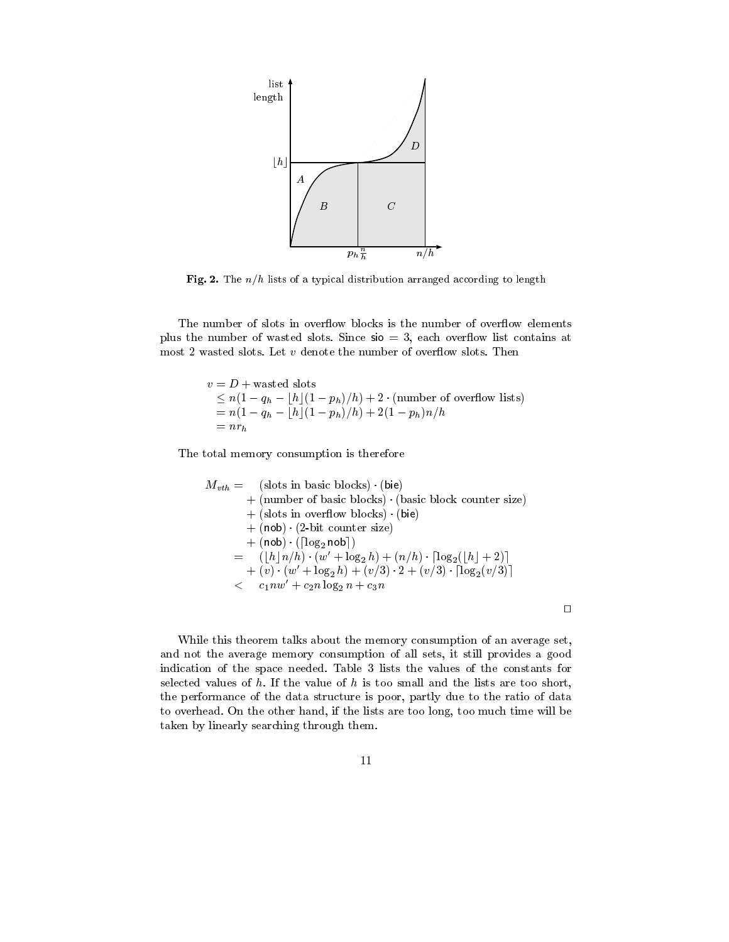

Fig. 2. The  $n/h$  lists of a typical distribution arranged according to length

The number of slots in overflow blocks is the number of overflow elements plus the number of wasted slots. Since  $sio = 3$ , each overflow list contains at most 2 wasted slots. Let  $v$  denote the number of overflow slots. Then

> $v = D +$  wasted slots  $\leq n(1 - q_h - \lfloor h \rfloor (1 - p_h)/h) + 2 \cdot \text{(number of overflow lists)}$  $= n(1 - q_h - \lfloor h\rfloor(1 - p_h)/h) + 2(1 - p_h)n/h$  $= nr_h$

The total memory consumption is therefore

$$
M_{vth} = \text{(slots in basic blocks)} \cdot \text{(bie)}+ \text{(number of basic blocks)} \cdot \text{(basic block counter size)}+ \text{(slots in overflow blocks)} \cdot \text{(bie)}+ \text{(nob)} \cdot (2 \text{-bit counter size})+ \text{(nob)} \cdot \text{([log}_2 \text{nob}])= (\lfloor h \rfloor n/h) \cdot (w' + \log_2 h) + (n/h) \cdot \lfloor \log_2(\lfloor h \rfloor + 2) \rfloor+ (v) \cdot (w' + \log_2 h) + (v/3) \cdot 2 + (v/3) \cdot \lfloor \log_2(v/3) \rfloor< c_1 n w' + c_2 n \log_2 n + c_3 n
$$

utility of the control of the control of the control of the control of the control of the control of the control of

While this theorem talks about the memory consumption of an average set, and not the average memory consumption of all sets, it still provides a good indication of the space needed. Table 3 lists the values of the constants for selected values of  $h$ . If the value of  $h$  is too small and the lists are too short, the performance of the data structure is poor, partly due to the ratio of data to overhead. On the other hand, if the lists are too long, too much time will be taken by linearly searching through them.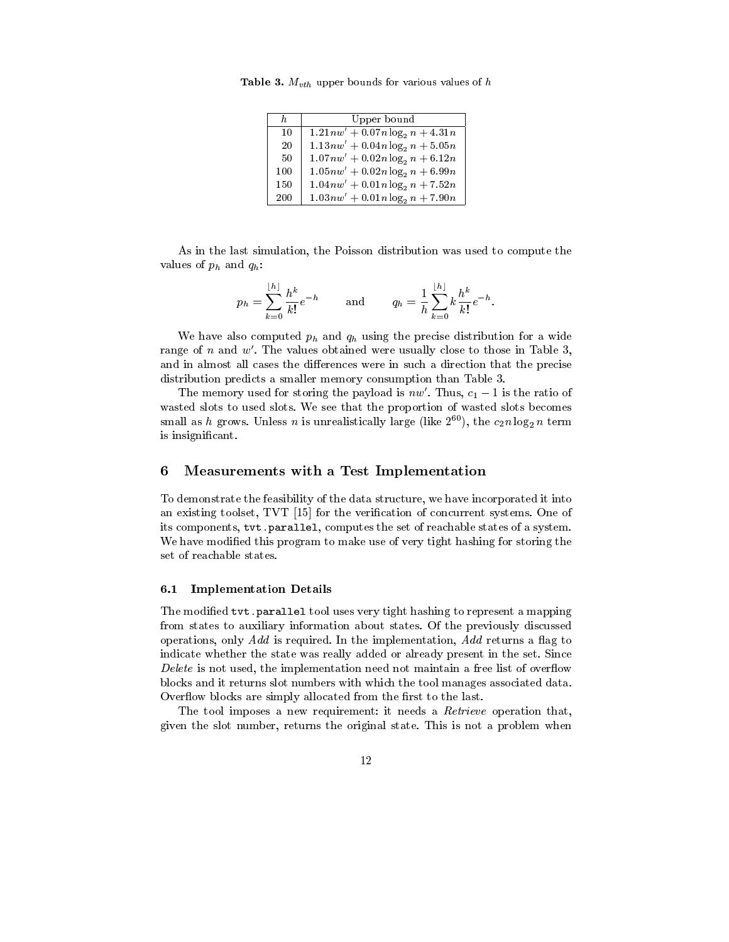**Table 3.**  $M_{vth}$  upper bounds for various values of h

| h.  | Upper bound                        |
|-----|------------------------------------|
| 10  | $1.21nw' + 0.07n \log_2 n + 4.31n$ |
| 20  | $1.13nw' + 0.04n \log_2 n + 5.05n$ |
| 50  | $1.07nw' + 0.02n \log_2 n + 6.12n$ |
| 100 | $1.05nw' + 0.02n \log_2 n + 6.99n$ |
| 150 | $1.04nw' + 0.01n \log_2 n + 7.52n$ |
| 200 | $1.03nw' + 0.01n \log_2 n + 7.90n$ |

As in the last simulation, the Poisson distribution was used to compute the values of  $p_h$  and  $q_h$ :

$$
p_h=\sum_{k=0}^{\lfloor h\rfloor}\frac{h^k}{k!}e^{-h}\qquad\text{ and }\qquad q_h=\frac{1}{h}\sum_{k=0}^{\lfloor h\rfloor}k\frac{h^k}{k!}e^{-h}.
$$

We have also computed  $p_h$  and  $q_h$  using the precise distribution for a wide range of n and  $w'$ . The values obtained were usually close to those in Table 3, and in almost all cases the differences were in such a direction that the precise distribution predicts a smaller memory consumption than Table 3.

The memory used for storing the payload is  $nw$  . Thus,  $c_1 - 1$  is the ratio of wasted slots to used slots. We see that the proportion of wasted slots becomes small as h grows. Unless h is unrealistically large (like  $2^{10}$  ), the  $c_2n\log_2 n$  term is insignicant.

#### 6 6 Measurements with a Test Implementation

To demonstrate the feasibility of the data structure, we have incorporated it into an existing toolset, TVT [15] for the verication of concurrent systems. One of its components, tvt.parallel, computes the set of reachable states of a system. We have modied this program to make use of very tight hashing for storing the set of reachable states.

## 6.1 Implementation Details

The modified  $\texttt{tvt.parallel}$  tool uses very tight hashing to represent a mapping from states to auxiliary information about states. Of the previously discussed operations, only Add is required. In the implementation, Add returns a flag to indicate whether the state was really added or already present in the set. Since Delete is not used, the implementation need not maintain a free list of overflow blocks and it returns slot numbers with which thetool manages associated data. Overflow blocks are simply allocated from the first to the last.

The tool imposes a new requirement: it needs a Retrieve operation that, given the slot number, returns the original state. This is not a problem when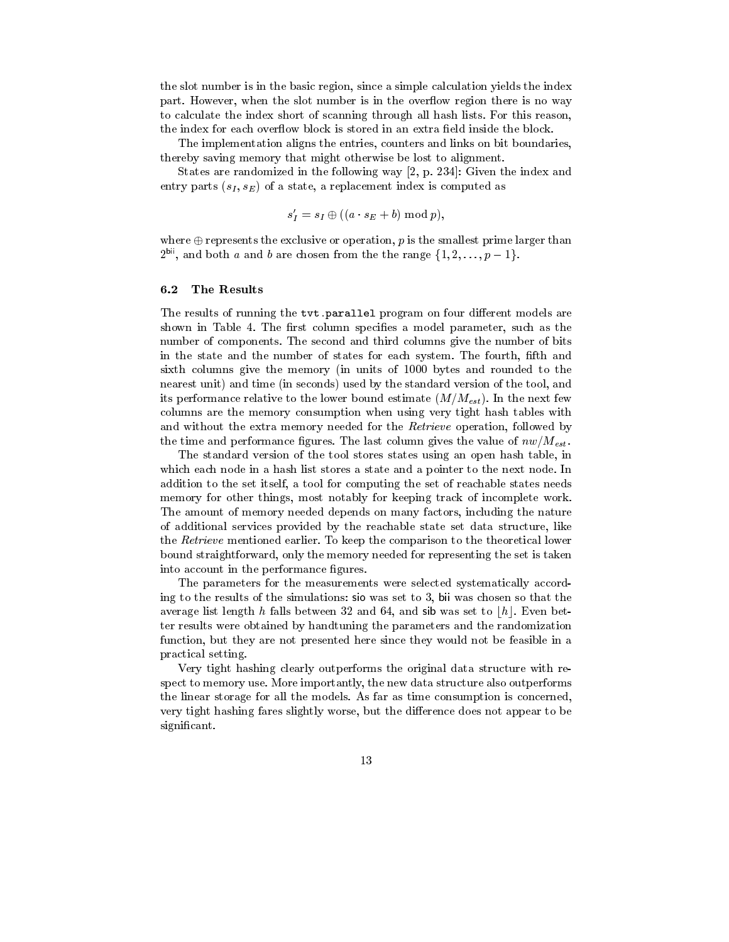the slot number is in thebasic region, since a simple calculation yields the index part. However, when the slot number is in the overflow region there is no way to calculate the index short of scanning through all hash lists. For this reason, the index for each overflow block is stored in an extra field inside the block.

The implementation aligns the entries, counters and links on bit boundaries, thereby saving memory that might otherwise be lost to alignment.

States are randomized in the following way  $[2, p. 234]$ : Given the index and entry parts  $(s_I, s_E)$  of a state, a replacement index is computed as

$$
s_I'=s_I\oplus ((a\cdot s_E+b)\bmod p),
$$

where  $\oplus$  represents the exclusive or operation, p is the smallest prime larger than  $2^{bii}$ , and both a and b are chosen from the the range  $\{1, 2, \ldots, p-1\}.$ 

### 6.2 The Results

The results of running the tvt.parallel program on four different models are shown in Table 4. The first column specifies a model parameter, such as the number of components. The second and third columns give the number of bits in the state and the number of states for each system. The fourth, fifth and sixth columns give the memory (in units of 1000 bytes and rounded to the nearest unit) and time (in seconds) used by the standard version of the tool, and its performance relative to the lower bound estimate  $(M/M_{est})$ . In the next few columns are the memory consumption when using very tight hash tables with and without the extra memory needed for the Retrieve operation, followed by the time and performance figures. The last column gives the value of  $nw/M_{est}$ .

The standard version of the tool stores states using an open hash table, in which each node in a hash list stores a state and a pointer to the next node. In addition to the set itself, a tool for computing the set of reachable states needs memory for other things, most notably for keeping track of incomplete work. The amount of memory needed depends on many factors, including the nature of additional services provided by the reachable state set data structure, like the Retrieve mentioned earlier. To keep the comparison to the theoretical lower bound straightforward, only the memory needed for representing the set is taken into account in the performance figures.

The parameters for the measurements were selected systematically according to the results of the simulations: sio was set to 3, bii was chosen so that the average list length h falls between 32 and 64, and sib was set to |h|. Even better results were obtained by handtuning the parameters and the randomization function, but they are not presented here since they would not be feasible in a practical setting.

Very tight hashing clearly outperforms the original data structure with respect to memory use. More importantly, the new data structure also outperforms the linear storage for all the models. As far as time consumption is concerned, very tight hashing fares slightly worse, but the difference does not appear to be significant.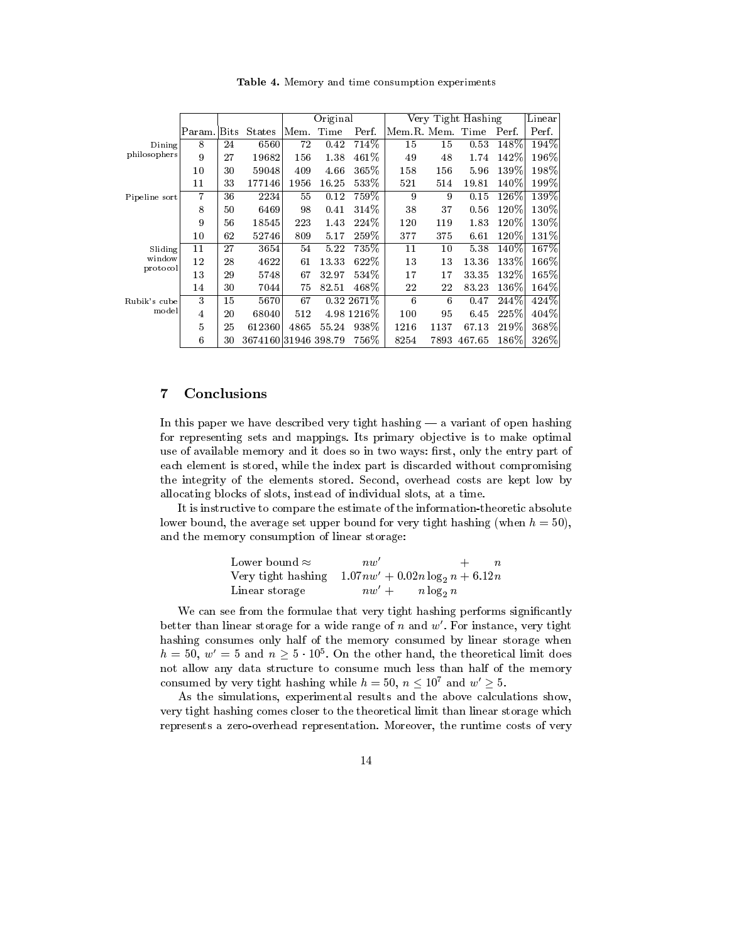|                    |                |             |                      |           | Original |               |                  |         | Very Tight Hashing |         | Linear  |
|--------------------|----------------|-------------|----------------------|-----------|----------|---------------|------------------|---------|--------------------|---------|---------|
|                    | Param.         | <b>Bits</b> | States               | Mem. Time |          | Perf.         | Mem R. Mem. Time |         |                    | Perf.   | Perf.   |
| Dining             | 8              | 24          | 6560                 | 72        | 0.42     | 714%          | 15               | 15      | 0.53               | 148%    | 194%    |
| philosophers       | 9              | 27          | 19682                | 156       | 1.38     | 461\%         | 49               | 48      | 1.74               | 142\%   | 196%    |
|                    | 10             | 30          | 59048                | 409       | 4.66     | 365%          | 158              | $156\,$ | 5.96               | 139%    | 198%    |
|                    | 11             | 33          | 177146               | 1956      | 16.25    | 533%          | 521              | 514     | 19.81              | 140\%   | 199%    |
| Pipeline sort      | 7              | 36          | 2234                 | 55        | 0.12     | $759\%$       | 9                | 9       | 0.15               | 126\%   | 139\%   |
|                    | 8              | 50          | 6469                 | 98        | 0.41     | $314\%$       | 38               | 37      | 0.56               | 120\%   | 130%    |
|                    | 9              | 56          | 18545                | 223       | 1.43     | 224\%         | 120              | 119     | 1.83               | 120\%   | 130%    |
|                    | 10             | 62          | 52746                | 809       | 5.17     | 259%          | 377              | 375     | 6.61               | 120\%   | 131\%   |
| Sliding            | 11             | 27          | 3654                 | 54        | 5.22     | 735\%         | 11               | 10      | 5.38               | 140%    | 167%    |
| window<br>protocol | 12             | 28          | 4622                 | 61        | 13.33    | $622\%$       | 13               | 13      | 13.36              | 133%    | $166\%$ |
|                    | 13             | 29          | 5748                 | 67        | 32.97    | $534\%$       | 17               | 17      | 33.35              | $132\%$ | 165%    |
|                    | 14             | 30          | 7044                 | 75        | 82.51    | 468\%         | 22               | 22      | 83.23              | $136\%$ | 164%    |
| Rubik's cube       | 3              | 15          | 5670                 | 67        |          | $0.32~2671\%$ | 6                | 6       | 0.47               | 244\%   | 424\%   |
| model              | $\overline{4}$ | 20          | 68040                | 512       |          | 4.98 1216\%   | 100              | 95      | 6.45               | 225\%   | 404%    |
|                    | 5              | 25          | 612360               | 4865      | 55.24    | $938\%$       | 1216             | 1137    | 67.13              | 219%    | 368\%   |
|                    | 6              | 30          | 3674160 31946 398.79 |           |          | $756\%$       | 8254             | 7893    | 467.65             | $186\%$ | 326\%   |

Table 4. Memory and time consumption experiments

# 7 Conclusions

In this paper we have described very tight hashing  $-$  a variant of open hashing for representing sets and mappings. Its primary ob jective is to make optimal use of available memory and it does so in two ways: first, only the entry part of each element is stored, while the index part is discarded without compromising the integrity of the elements stored. Second, overhead costs are kept low by allocating blocks of slots, instead of individual slots, at a time.

It is instructive to compare the estimate of the information-theoretic absolute lower bound, the average set upper bound for very tight hashing (when  $h = 50$ ), and the memory consumption of linear storage:

| Lower bound $\approx$                                 | nw' |                    |  |
|-------------------------------------------------------|-----|--------------------|--|
| Very tight hashing $1.07nw' + 0.02n \log_2 n + 6.12n$ |     |                    |  |
| Linear storage                                        |     | $nw' + n \log_2 n$ |  |

We can see from the formulae that very tight hashing performs significantly better than linear storage for a wide range of  $n$  and  $w'$ . For instance, very tight hashing consumes only half of the memory consumed by linear storage when  $h = 50$ ,  $w' = 5$  and  $n \geq 5 \cdot 10^5$ . On the other hand, the theoretical limit does not allow any data structure to consume much less than half of the memory consumed by very tight hashing while  $h = 50$ ,  $n \leq 10^7$  and  $w' \geq 5$ .

As the simulations, experimental results and the above calculations show, very tight hashing comes closer to the theoretical limit than linear storage which represents a zero-overhead representation. Moreover, the runtime costs of very